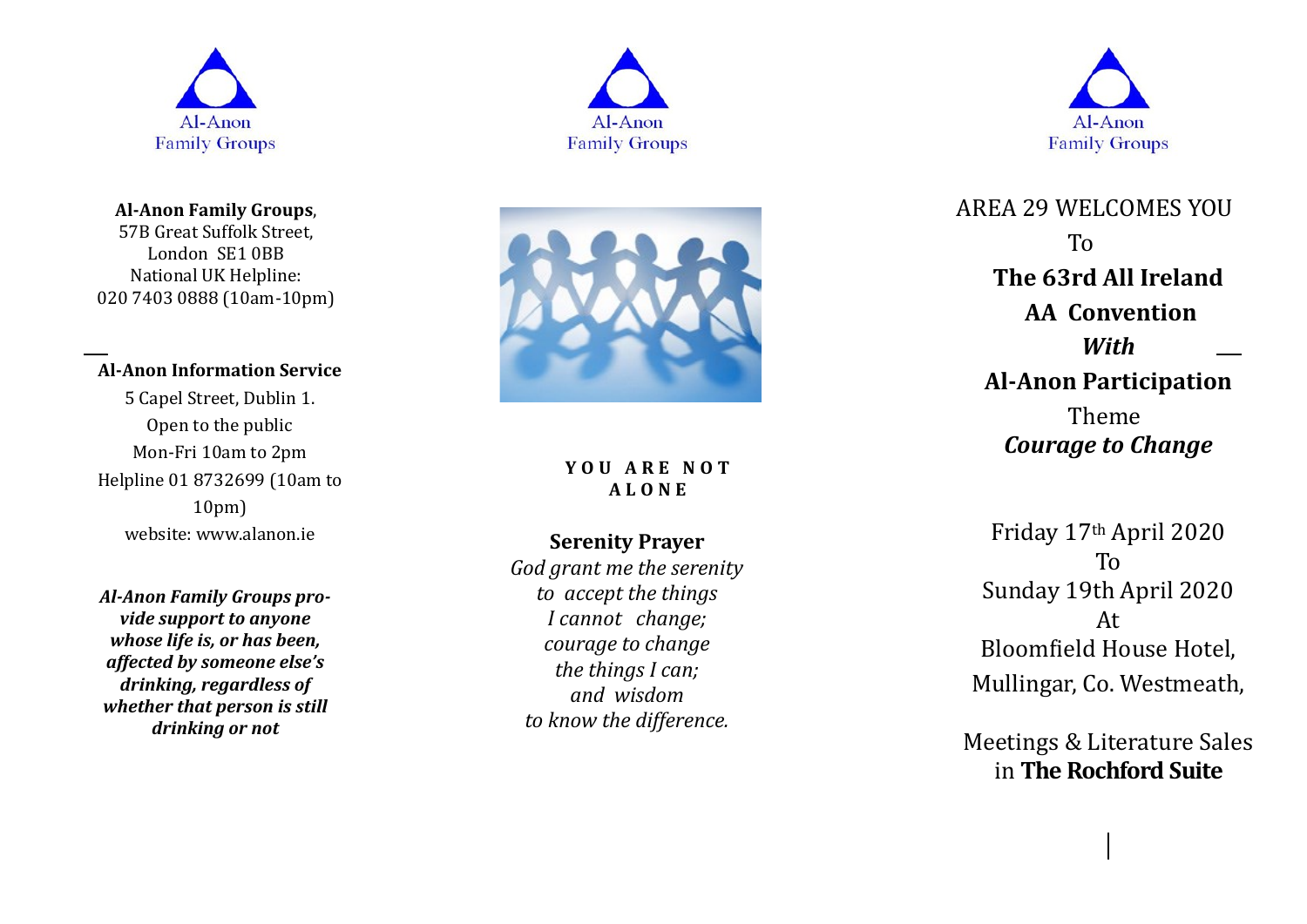

**Al -Anon Family Groups**, 57B Great Suffolk Street, London SE1 0BB National UK Helpline: 020 7403 0888 (10am -10pm)

### **Al -Anon Information Service**

5 Capel Street, Dublin 1. Open to the public Mon -Fri 10am to 2pm Helpline 01 8732699 (10am to 10pm) website: www.alanon.ie

*Al -Anon Family Groups provide support to anyone whose life is, or has been, affected by someone else's drinking, regardless of whether that person is still drinking or not*





**Y O U A R E N O T A L O N E**

## **Serenity Prayer**

*God grant me the serenity to accept the things I cannot change; courage to change the things I can; and wisdom to know the difference.*



AREA 29 WELCOMES YOU To **The 63rd All Ireland AA Convention** *With* **Al -Anon Participation** Theme *Courage to Change*

Friday 17th April 2020 To Sunday 19th April 2020 At Bloomfield House Hotel, Mullingar, Co. Westmeath,

Meetings & Literature Sales in **The Rochford Suite**